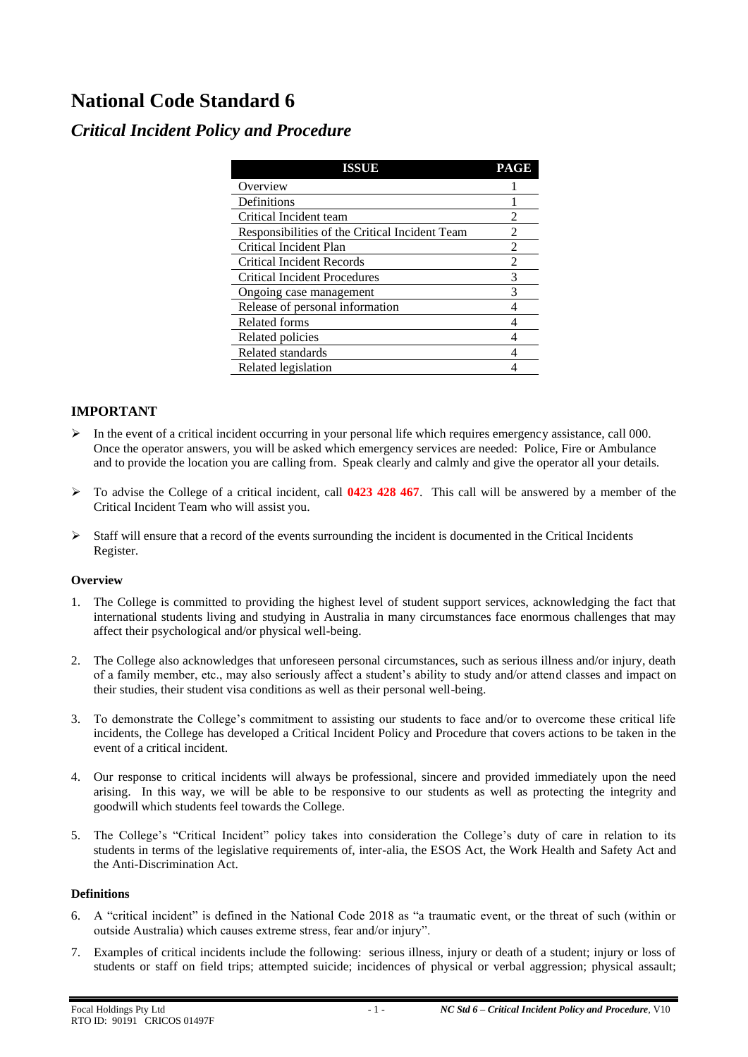# **National Code Standard 6**

# *Critical Incident Policy and Procedure*

| ISSUE                                          | PAGE |
|------------------------------------------------|------|
| Overview                                       |      |
| Definitions                                    |      |
| Critical Incident team                         | 2    |
| Responsibilities of the Critical Incident Team | 2    |
| Critical Incident Plan                         | 2    |
| Critical Incident Records                      | 2    |
| <b>Critical Incident Procedures</b>            | 3    |
| Ongoing case management                        | 3    |
| Release of personal information                |      |
| Related forms                                  |      |
| Related policies                               |      |
| Related standards                              |      |
| Related legislation                            |      |

# **IMPORTANT**

- $\triangleright$  In the event of a critical incident occurring in your personal life which requires emergency assistance, call 000. Once the operator answers, you will be asked which emergency services are needed: Police, Fire or Ambulance and to provide the location you are calling from. Speak clearly and calmly and give the operator all your details.
- ➢ To advise the College of a critical incident, call **0423 428 467**. This call will be answered by a member of the Critical Incident Team who will assist you.
- $\triangleright$  Staff will ensure that a record of the events surrounding the incident is documented in the Critical Incidents Register.

# **Overview**

- 1. The College is committed to providing the highest level of student support services, acknowledging the fact that international students living and studying in Australia in many circumstances face enormous challenges that may affect their psychological and/or physical well-being.
- 2. The College also acknowledges that unforeseen personal circumstances, such as serious illness and/or injury, death of a family member, etc., may also seriously affect a student's ability to study and/or attend classes and impact on their studies, their student visa conditions as well as their personal well-being.
- 3. To demonstrate the College's commitment to assisting our students to face and/or to overcome these critical life incidents, the College has developed a Critical Incident Policy and Procedure that covers actions to be taken in the event of a critical incident.
- 4. Our response to critical incidents will always be professional, sincere and provided immediately upon the need arising. In this way, we will be able to be responsive to our students as well as protecting the integrity and goodwill which students feel towards the College.
- 5. The College's "Critical Incident" policy takes into consideration the College's duty of care in relation to its students in terms of the legislative requirements of, inter-alia, the ESOS Act, the Work Health and Safety Act and the Anti-Discrimination Act.

# **Definitions**

- 6. A "critical incident" is defined in the National Code 2018 as "a traumatic event, or the threat of such (within or outside Australia) which causes extreme stress, fear and/or injury".
- 7. Examples of critical incidents include the following: serious illness, injury or death of a student; injury or loss of students or staff on field trips; attempted suicide; incidences of physical or verbal aggression; physical assault;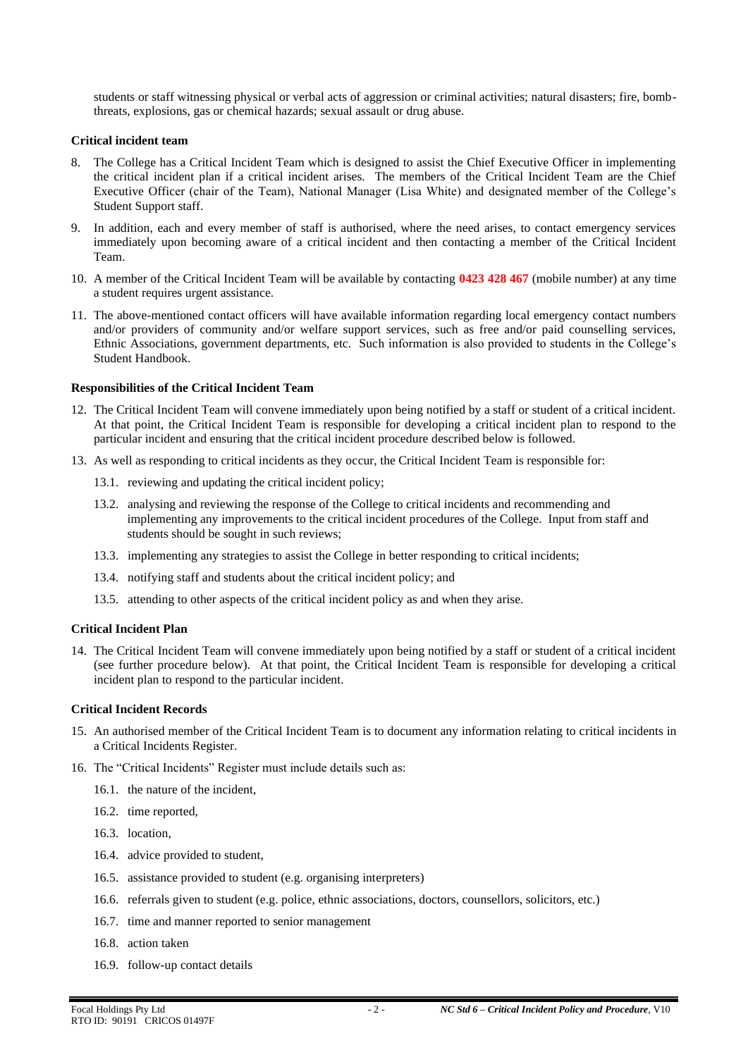students or staff witnessing physical or verbal acts of aggression or criminal activities; natural disasters; fire, bombthreats, explosions, gas or chemical hazards; sexual assault or drug abuse.

#### **Critical incident team**

- 8. The College has a Critical Incident Team which is designed to assist the Chief Executive Officer in implementing the critical incident plan if a critical incident arises. The members of the Critical Incident Team are the Chief Executive Officer (chair of the Team), National Manager (Lisa White) and designated member of the College's Student Support staff.
- 9. In addition, each and every member of staff is authorised, where the need arises, to contact emergency services immediately upon becoming aware of a critical incident and then contacting a member of the Critical Incident Team.
- 10. A member of the Critical Incident Team will be available by contacting **0423 428 467** (mobile number) at any time a student requires urgent assistance.
- 11. The above-mentioned contact officers will have available information regarding local emergency contact numbers and/or providers of community and/or welfare support services, such as free and/or paid counselling services, Ethnic Associations, government departments, etc. Such information is also provided to students in the College's Student Handbook.

#### **Responsibilities of the Critical Incident Team**

- 12. The Critical Incident Team will convene immediately upon being notified by a staff or student of a critical incident. At that point, the Critical Incident Team is responsible for developing a critical incident plan to respond to the particular incident and ensuring that the critical incident procedure described below is followed.
- 13. As well as responding to critical incidents as they occur, the Critical Incident Team is responsible for:
	- 13.1. reviewing and updating the critical incident policy;
	- 13.2. analysing and reviewing the response of the College to critical incidents and recommending and implementing any improvements to the critical incident procedures of the College. Input from staff and students should be sought in such reviews;
	- 13.3. implementing any strategies to assist the College in better responding to critical incidents;
	- 13.4. notifying staff and students about the critical incident policy; and
	- 13.5. attending to other aspects of the critical incident policy as and when they arise.

#### **Critical Incident Plan**

14. The Critical Incident Team will convene immediately upon being notified by a staff or student of a critical incident (see further procedure below). At that point, the Critical Incident Team is responsible for developing a critical incident plan to respond to the particular incident.

#### **Critical Incident Records**

- 15. An authorised member of the Critical Incident Team is to document any information relating to critical incidents in a Critical Incidents Register.
- 16. The "Critical Incidents" Register must include details such as:
	- 16.1. the nature of the incident,
	- 16.2. time reported,
	- 16.3. location,
	- 16.4. advice provided to student,
	- 16.5. assistance provided to student (e.g. organising interpreters)
	- 16.6. referrals given to student (e.g. police, ethnic associations, doctors, counsellors, solicitors, etc.)
	- 16.7. time and manner reported to senior management
	- 16.8. action taken
	- 16.9. follow-up contact details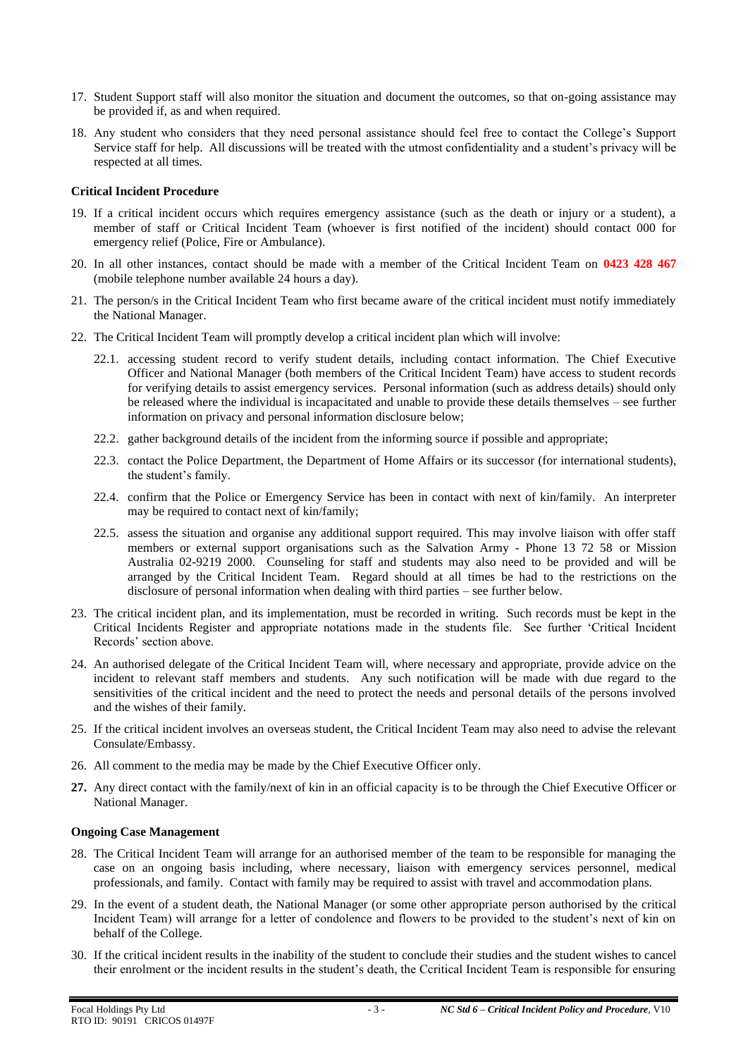- 17. Student Support staff will also monitor the situation and document the outcomes, so that on-going assistance may be provided if, as and when required.
- 18. Any student who considers that they need personal assistance should feel free to contact the College's Support Service staff for help. All discussions will be treated with the utmost confidentiality and a student's privacy will be respected at all times.

#### **Critical Incident Procedure**

- 19. If a critical incident occurs which requires emergency assistance (such as the death or injury or a student), a member of staff or Critical Incident Team (whoever is first notified of the incident) should contact 000 for emergency relief (Police, Fire or Ambulance).
- 20. In all other instances, contact should be made with a member of the Critical Incident Team on **0423 428 467** (mobile telephone number available 24 hours a day).
- 21. The person/s in the Critical Incident Team who first became aware of the critical incident must notify immediately the National Manager.
- 22. The Critical Incident Team will promptly develop a critical incident plan which will involve:
	- 22.1. accessing student record to verify student details, including contact information. The Chief Executive Officer and National Manager (both members of the Critical Incident Team) have access to student records for verifying details to assist emergency services. Personal information (such as address details) should only be released where the individual is incapacitated and unable to provide these details themselves – see further information on privacy and personal information disclosure below;
	- 22.2. gather background details of the incident from the informing source if possible and appropriate;
	- 22.3. contact the Police Department, the Department of Home Affairs or its successor (for international students), the student's family.
	- 22.4. confirm that the Police or Emergency Service has been in contact with next of kin/family. An interpreter may be required to contact next of kin/family;
	- 22.5. assess the situation and organise any additional support required. This may involve liaison with offer staff members or external support organisations such as the Salvation Army - Phone 13 72 58 or Mission Australia 02-9219 2000. Counseling for staff and students may also need to be provided and will be arranged by the Critical Incident Team. Regard should at all times be had to the restrictions on the disclosure of personal information when dealing with third parties – see further below.
- 23. The critical incident plan, and its implementation, must be recorded in writing. Such records must be kept in the Critical Incidents Register and appropriate notations made in the students file. See further 'Critical Incident Records' section above.
- 24. An authorised delegate of the Critical Incident Team will, where necessary and appropriate, provide advice on the incident to relevant staff members and students. Any such notification will be made with due regard to the sensitivities of the critical incident and the need to protect the needs and personal details of the persons involved and the wishes of their family.
- 25. If the critical incident involves an overseas student, the Critical Incident Team may also need to advise the relevant Consulate/Embassy.
- 26. All comment to the media may be made by the Chief Executive Officer only.
- **27.** Any direct contact with the family/next of kin in an official capacity is to be through the Chief Executive Officer or National Manager.

#### **Ongoing Case Management**

- 28. The Critical Incident Team will arrange for an authorised member of the team to be responsible for managing the case on an ongoing basis including, where necessary, liaison with emergency services personnel, medical professionals, and family. Contact with family may be required to assist with travel and accommodation plans.
- 29. In the event of a student death, the National Manager (or some other appropriate person authorised by the critical Incident Team) will arrange for a letter of condolence and flowers to be provided to the student's next of kin on behalf of the College.
- 30. If the critical incident results in the inability of the student to conclude their studies and the student wishes to cancel their enrolment or the incident results in the student's death, the Ccritical Incident Team is responsible for ensuring